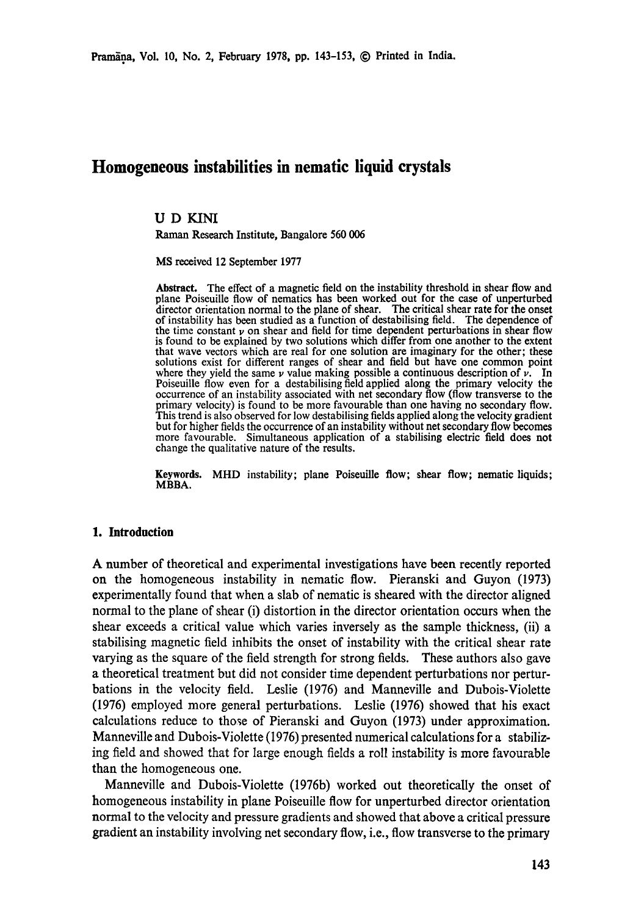# **Homogeneous instabilities in nematic liquid crystals**

# **UD** KINI

Raman Research Institute, Bangalore 560 006

MS received 12 September 1977

Abstract. The effect of a magnetic field on the instability threshold in shear flow and plane Poiseuille flow of nematics has been worked out for the case of unperturbed director orientation normal to the plane of shear. The critical shear rate for the onset of instability has been studied as a function of destabilising field. The dependence of the time constant  $\nu$  on shear and field for time dependent perturbations in shear flow is found to be explained by two solutions which differ from one another to the extent that wave vectors which are real for one solution are imaginary for the other; these solutions exist for different ranges of shear and field but have one common point where they yield the same  $\nu$  value making possible a continuous description of  $\nu$ . In Poiseuille flow even for a destabilising field applied along the primary velocity the occurrence of an instability associated with net secondary flow (flow transverse to **the**  primary velocity) is found to be more favourable than one having no secondary flow. This trend is also observed for low destabilising fields applied along the velocity gradient but for higher fields the occurrence of an instability without net secondary flow becomes more favourable. Simultaneous application of a stabilising electric field does **not**  change the qualitative nature of the results.

**Keywords.** MHD instability; plane Poiseuille flow; shear flow; nematic liquids; MBBA.

#### **1. Introduction**

A number of theoretical and experimental investigations have been recently reported on the homogeneous instability in nematic flow. Pieranski and Guyon (1973) experimentally found that when a slab of nematic is sheared with the director aligned normal to the plane of shear (i) distortion in the director orientation occurs when the shear exceeds a critical value which varies inversely as the sample thickness, (ii) a stabilising magnetic field inhibits the onset of instability with the critical shear rate varying as the square of the field strength for strong fields. These authors also gave a theoretical treatment but did not consider time dependent perturbations nor perturbations in the velocity field. Leslie (1976) and Manneville and Dubois-Violette (1976) employed more general perturbations. Leslie (1976) showed that his exact calculations reduce to those of Pieranski and Guyon (1973) under approximation. Manneville and Dubois-Violette (1976) presented numerical calculations for a stabilizing field and showed that for large enough fields a roll instability is more favourable than the homogeneous one.

Manneville and Dubois-Violette (1976b) worked out theoretically the onset of homogeneous instability in plane Poiseuille flow for unperturbed director orientation normal to the velocity and pressure gradients and showed that above a critical pressure gradient an instability involving net secondary flow, i.e., flow transverse to the primary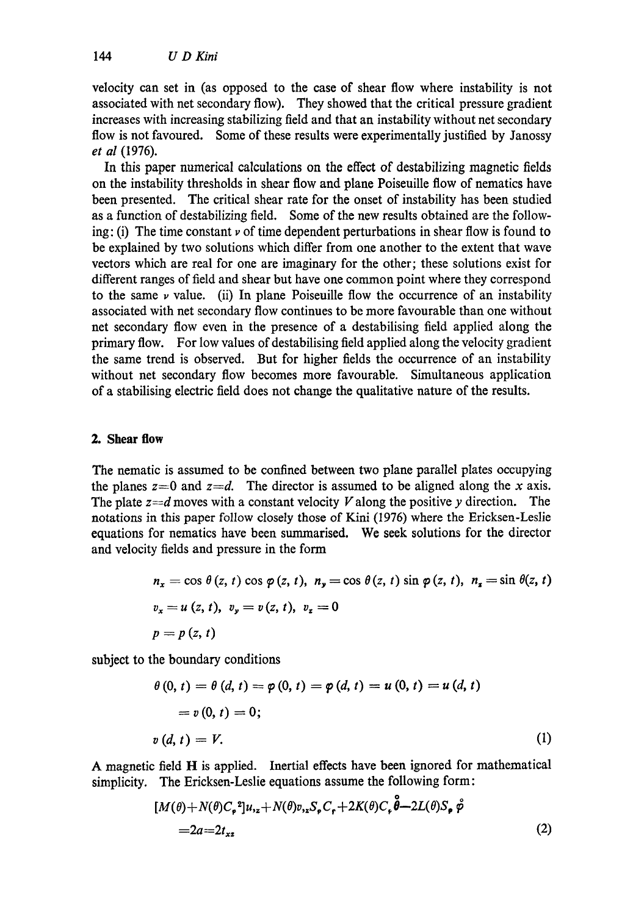velocity can set in (as opposed to the case of shear flow where instability is not associated with net secondary flow). They showed that the critical pressure gradient increases with increasing stabilizing field and that an instability without net secondary flow is not favoured. Some of these results were experimentally justified by Janossy *et al* (1976).

In this paper numerical calculations on the effect of destabilizing magnetic fields on the instability thresholds in shear flow and plane Poiseuille flow of nematics have been presented. The critical shear rate for the onset of instability has been studied as a function of destabilizing field. Some of the new results obtained are the following: (i) The time constant  $\nu$  of time dependent perturbations in shear flow is found to be explained by two solutions which differ from one another to the extent that wave vectors which are real for one are imaginary for the other; these solutions exist for different ranges of field and shear but have one common point where they correspond to the same  $\nu$  value. (ii) In plane Poiseuille flow the occurrence of an instability associated with net secondary flow continues to be more favourable than one without net secondary flow even in the presence of a destabilising field applied along the primary flow. For low values of destabilising field applied along the velocity gradient the same trend is observed. But for higher fields the occurrence of an instability without net secondary flow becomes more favourable. Simultaneous application of a stabilising electric field does not change the qualitative nature of the results.

# **2. Shear flow**

The nematic is assumed to be confined between two plane parallel plates occupying the planes  $z=0$  and  $z=d$ . The director is assumed to be aligned along the x axis. The plate  $z=d$  moves with a constant velocity V along the positive y direction. The notations in this paper follow closely those of Kini (1976) where the Ericksen-Leslie equations for nematics have been summarised. We seek solutions for the director and velocity fields and pressure in the form

$$
n_x = \cos \theta (z, t) \cos \varphi (z, t), \quad n_y = \cos \theta (z, t) \sin \varphi (z, t), \quad n_z = \sin \theta (z, t)
$$
  

$$
v_x = u (z, t), \quad v_y = v (z, t), \quad v_z = 0
$$
  

$$
p = p (z, t)
$$

subject to the boundary conditions

$$
\theta(0, t) = \theta(d, t) = \varphi(0, t) = \varphi(d, t) = u(0, t) = u(d, t)
$$
  
=  $v(0, t) = 0;$   

$$
v(d, t) = V.
$$
 (1)

A magnetic field H is applied. Inertial effects have been ignored for mathematical simplicity. The Ericksen-Leslie equations assume the following form:

$$
[M(\theta) + N(\theta)C_{\varphi}^{2}]u_{1z} + N(\theta)v_{1z}S_{\varphi}C_{\varphi} + 2K(\theta)C_{\varphi}\hat{\theta} - 2L(\theta)S_{\varphi}\hat{\varphi}
$$
  
=2a=2t<sub>xz</sub> (2)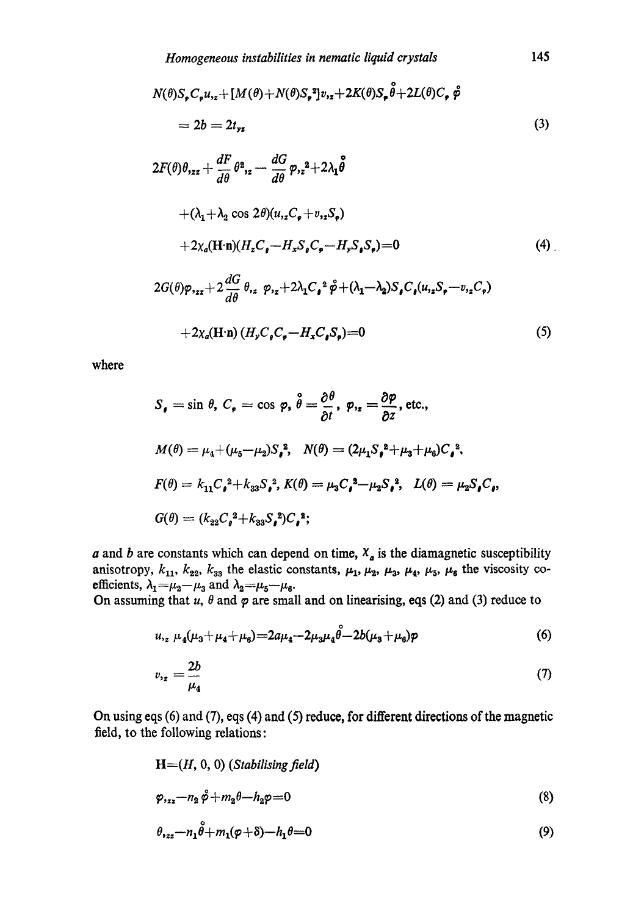$$
N(\theta)S_{\varphi}C_{\varphi}u_{xz} + [M(\theta) + N(\theta)S_{\varphi}^{2}]v_{xz} + 2K(\theta)S_{\varphi}\overset{\circ}{\theta} + 2L(\theta)C_{\varphi}\overset{\circ}{\phi}
$$
  
=  $2b = 2t_{yz}$  (3)

$$
2F(\theta)\theta_{,zz} + \frac{dF}{d\theta}\theta_{,z}^2 - \frac{dG}{d\theta}\varphi_{,z}^2 + 2\lambda_1\overset{\circ}{\theta}
$$
  
+  $(\lambda_1 + \lambda_2 \cos 2\theta)(u_{,z}C_{\phi} + v_{,z}S_{\phi})$   
+  $2\chi_a(\mathbf{H}\cdot\mathbf{n})(H_zC_{\theta} - H_xS_{\phi}C_{\phi} - H_yS_{\phi}S_{\phi}) = 0$  (4)  

$$
2G(\theta)\varphi_{,zz} + 2\frac{dG}{d\theta}\theta_{,z}\varphi_{,z} + 2\lambda_1C_{\phi}^2\overset{\circ}{\varphi} + (\lambda_1 - \lambda_2)S_{\phi}C_{\phi}(u_{,z}S_{\phi} - v_{,z}C_{\phi})
$$
  
+  $2\chi_a(\mathbf{H}\cdot\mathbf{n})(H_yC_{\phi}C_{\phi} - H_xC_{\phi}S_{\phi}) = 0$  (5)

where

$$
S_{\bullet} = \sin \theta, C_{\bullet} = \cos \varphi, \ \hat{\theta} = \frac{\partial \theta}{\partial t}, \ \varphi_{2} = \frac{\partial \varphi}{\partial z}, \text{ etc.,}
$$
  
\n
$$
M(\theta) = \mu_{4} + (\mu_{5} - \mu_{2}) S_{\bullet}^{2}, \quad N(\theta) = (2\mu_{1} S_{\bullet}^{2} + \mu_{3} + \mu_{6}) C_{\bullet}^{2},
$$
  
\n
$$
F(\theta) = k_{11} C_{\bullet}^{2} + k_{33} S_{\bullet}^{2}, K(\theta) = \mu_{3} C_{\bullet}^{2} - \mu_{2} S_{\bullet}^{2}, \quad L(\theta) = \mu_{2} S_{\bullet} C_{\bullet},
$$
  
\n
$$
G(\theta) = (k_{22} C_{\bullet}^{2} + k_{33} S_{\bullet}^{2}) C_{\bullet}^{2};
$$

a and b are constants which can depend on time,  $X_a$  is the diamagnetic susceptibility anisotropy,  $k_{11}$ ,  $k_{22}$ ,  $k_{33}$  the elastic constants,  $\mu_1$ ,  $\mu_2$ ,  $\mu_3$ ,  $\mu_4$ ,  $\mu_5$ ,  $\mu_6$  the viscosity coefficients,  $\lambda_1 = \mu_2 - \mu_3$  and  $\lambda_2 = \mu_5 - \mu_6$ .

On assuming that  $u$ ,  $\theta$  and  $\varphi$  are small and on linearising, eqs (2) and (3) reduce to

$$
u_{12} \mu_4(\mu_3 + \mu_4 + \mu_6) = 2a\mu_4 - 2\mu_3\mu_4\hat{\theta} - 2b(\mu_3 + \mu_6)\varphi
$$
\n
$$
v_{12} = \frac{2b}{\mu_4}
$$
\n(7)

On using eqs (6) and (7), eqs (4) and (5) reduce, for different directions of the magnetic field, to the following relations:

$$
\mathbf{H}=(H, 0, 0) \text{ (Stabilising field)}
$$
\n
$$
\varphi_{.zz}-n_2 \hat{\varphi}+m_2 \theta - h_2 \varphi = 0 \tag{8}
$$
\n
$$
\theta_{.zz}-n_1 \hat{\theta}+m_1(\varphi+\delta)-h_1 \theta = 0 \tag{9}
$$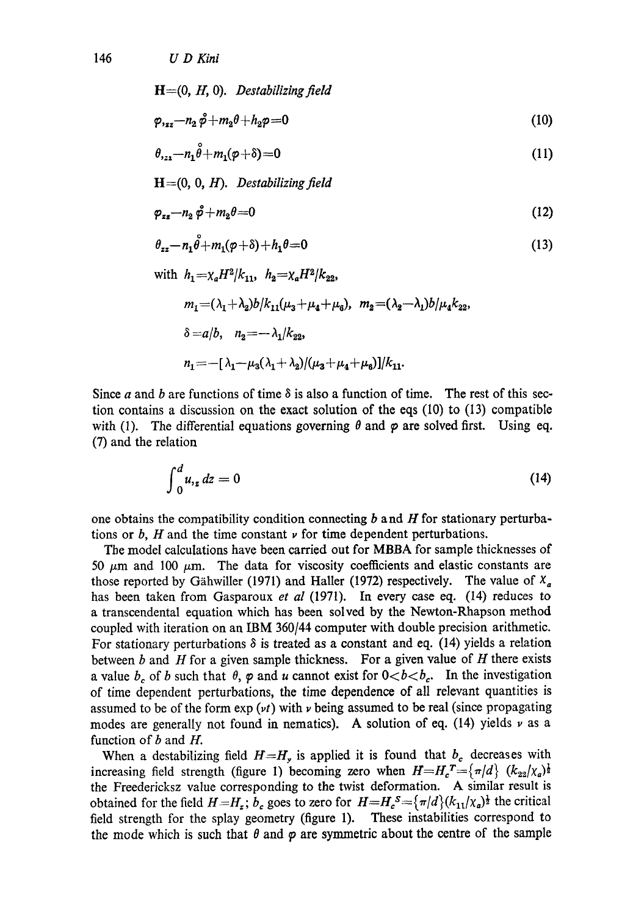146 *U D Kini* 

$$
\mathbf{H} = (0, H, 0). \quad \text{Destabilizing field}
$$
\n
$$
\varphi_{1zz} - n_2 \, \varphi + m_2 \theta + h_2 \varphi = 0 \tag{10}
$$

$$
\theta_{322} - n_1 \dot{\theta} + m_1 (\phi + \delta) = 0 \tag{11}
$$

$$
H = (0, 0, H). \quad Destabilizing field
$$

$$
\varphi_{zz} - n_2 \, \varphi + m_2 \theta = 0 \tag{12}
$$

$$
\theta_{zz} - n_1 \overset{\circ}{\theta} + m_1(\varphi + \delta) + h_1 \theta = 0 \tag{13}
$$

with 
$$
h_1 = \chi_a H^2 / k_{11}
$$
,  $h_2 = \chi_a H^2 / k_{22}$ ,  
\n $m_1 = (\lambda_1 + \lambda_2) b / k_{11} (\mu_3 + \mu_4 + \mu_6)$ ,  $m_2 = (\lambda_2 - \lambda_1) b / \mu_4 k_{22}$ ,  
\n $\delta = a/b$ ,  $n_2 = -\lambda_1 / k_{22}$ ,  
\n $n_1 = -[\lambda_1 - \mu_3 (\lambda_1 + \lambda_2) / (\mu_3 + \mu_4 + \mu_6)] / k_{11}$ .

Since a and b are functions of time  $\delta$  is also a function of time. The rest of this section contains a discussion on the exact solution of the eqs (10) to (13) compatible with (1). The differential equations governing  $\theta$  and  $\varphi$  are solved first. Using eq. (7) and the relation

$$
\int_0^d u_{,z} dz = 0 \tag{14}
$$

one obtains the compatibility condition connecting  $b$  and  $H$  for stationary perturbations or  $b$ ,  $H$  and the time constant  $\nu$  for time dependent perturbations.

The model calculations have been carried out for MBBA for sample thicknesses of 50  $\mu$ m and 100  $\mu$ m. The data for viscosity coefficients and elastic constants are those reported by Gähwiller (1971) and Haller (1972) respectively. The value of  $X_a$ has been taken from Gasparoux *et al* (1971). In every case eq. (14) reduces to a transcendental equation which has been solved by the Newton-Rhapson method coupled with iteration on an IBM 360/44 computer with double precision arithmetic. For stationary perturbations  $\delta$  is treated as a constant and eq. (14) yields a relation between  $b$  and  $H$  for a given sample thickness. For a given value of  $H$  there exists a value  $b_c$  of b such that  $\theta$ ,  $\varphi$  and u cannot exist for  $0 < b < b_c$ . In the investigation of time dependent perturbations, the time dependence of all relevant quantities is assumed to be of the form  $exp(vt)$  with  $\nu$  being assumed to be real (since propagating modes are generally not found in nematics). A solution of eq.  $(14)$  yields  $\nu$  as a function of  $b$  and  $H$ .

When a destabilizing field  $H=H<sub>y</sub>$  is applied it is found that  $b<sub>c</sub>$  decreases with increasing field strength (figure 1) becoming zero when  $H=H_c^T=\{\pi/d\}$   $(k_{22}/\chi_a)^{\frac{1}{2}}$ the Freedericksz value corresponding to the twist deformation. A similar result is obtained for the field  $H=H_z$ ;  $b_c$  goes to zero for  $H=H_c^s=\{\pi/d\}(k_{11}/\chi_a)^{\frac{1}{2}}$  the critical field strength for the splay geometry (figure 1). These instabilities correspond to the mode which is such that  $\theta$  and  $\varphi$  are symmetric about the centre of the sample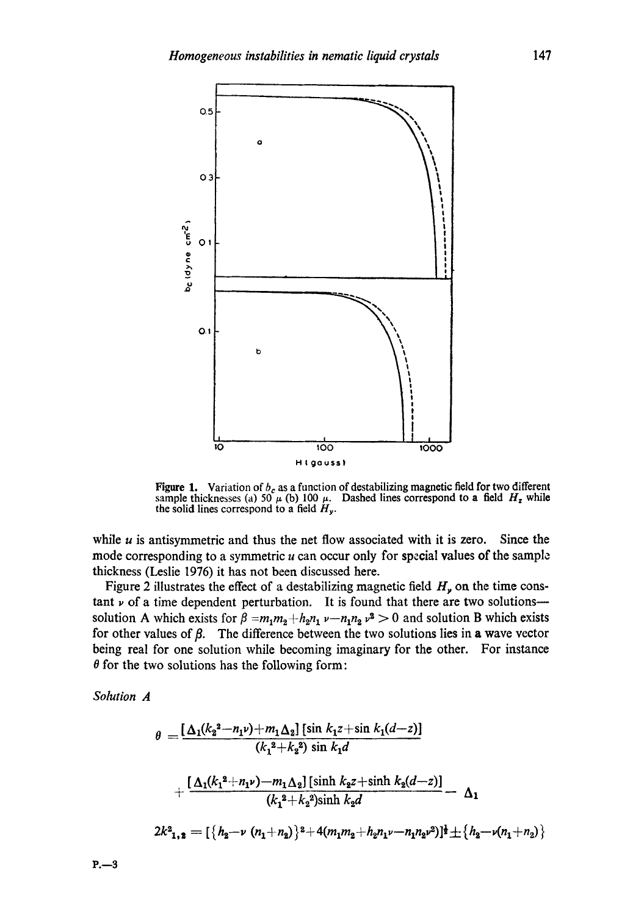

Figure 1. Variation of  $b_c$  as a function of destabilizing magnetic field for two different sample thicknesses (a) 50  $\mu$  (b) 100  $\mu$ . Dashed lines correspond to a field  $H_z$  while the solid lines correspond to a field  $H_y$ .

while  $u$  is antisymmetric and thus the net flow associated with it is zero. Since the mode corresponding to a symmetric  $u$  can occur only for special values of the sample thickness (Leslie 1976) it has not been discussed here.

Figure 2 illustrates the effect of a destabilizing magnetic field  $H<sub>y</sub>$  on the time constant  $\nu$  of a time dependent perturbation. It is found that there are two solutions-solution A which exists for  $\beta = m_1 m_2 + h_2 n_1 \nu - n_1 n_2 \nu^2 > 0$  and solution B which exists for other values of  $\beta$ . The difference between the two solutions lies in a wave vector being real for one solution while becoming imaginary for the other. For instance  $\theta$  for the two solutions has the following form:

*Solution A* 

$$
\theta = \frac{[\Delta_1(k_2^2 - n_1\nu) + m_1\Delta_2] [\sin k_1 z + \sin k_1(d-z)]}{(k_1^2 + k_2^2) \sin k_1 d}
$$

$$
+ \frac{[\Delta_1(k_1^2 + n_1\nu) - m_1\Delta_2] [\sinh k_2 z + \sinh k_2(d-z)]}{(k_1^2 + k_2^2) \sinh k_2 d} - \Delta_1
$$

$$
2k_{1,2}^2 = [\{h_2 - \nu (n_1 + n_2)\}^2 + 4(m_1m_2 + h_2n_1\nu - n_1n_2\nu^2)]^{\frac{1}{2}} + \{h_2 - \nu(n_1 + n_2)\}
$$

*P.--3*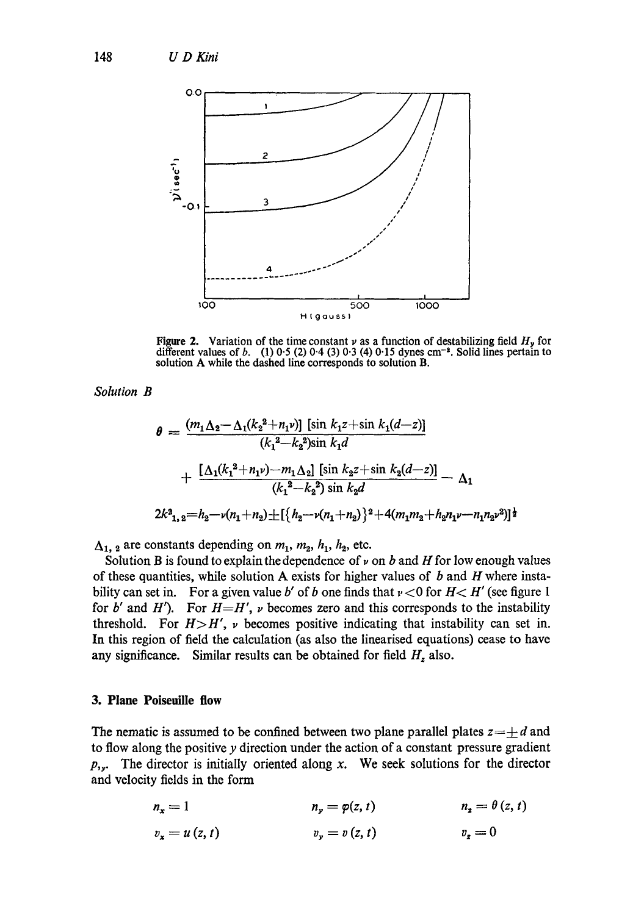

**Figure 2.** Variation of the time constant  $\nu$  as a function of destabilizing field  $H_{\nu}$  for different values of b. (1) 0.5 (2) 0.4 (3) 0.3 (4) 0.15 dynes cm<sup>-2</sup>. Solid lines pertain to solution A while the dashed line corresponds to solution B.

*Solution B* 

$$
\theta = \frac{(m_1 \Delta_2 - \Delta_1 (k_2^2 + n_1 \nu)] [\sin k_1 z + \sin k_1 (d-z)]}{(k_1^2 - k_2^2) \sin k_1 d}
$$

$$
+ \frac{[\Delta_1 (k_1^2 + n_1 \nu) - m_1 \Delta_2] [\sin k_2 z + \sin k_2 (d-z)]}{(k_1^2 - k_2^2) \sin k_2 d} - \Delta_1
$$

$$
2k_{1,2}^2 = h_2 - \nu (n_1 + n_2) \pm [\{h_2 - \nu (n_1 + n_2)\}^2 + 4(m_1 m_2 + h_2 n_1 \nu - n_1 n_2 \nu^2)]^{\frac{1}{2}}
$$

 $\Delta_1$ , a are constants depending on  $m_1$ ,  $m_2$ ,  $h_1$ ,  $h_2$ , etc.

Solution B is found to explain the dependence of  $\nu$  on b and H for low enough values of these quantities, while solution A exists for higher values of  $b$  and  $H$  where instability can set in. For a given value b' of b one finds that  $v < 0$  for  $H < H'$  (see figure 1 for b' and H'). For  $H=H'$ ,  $\nu$  becomes zero and this corresponds to the instability threshold. For  $H > H'$ ,  $\nu$  becomes positive indicating that instability can set in. In this region of field the calculation (as also the linearised equations) cease to have any significance. Similar results can be obtained for field  $H<sub>z</sub>$  also.

# **3. Plane Poiseuille flow**

The nematic is assumed to be confined between two plane parallel plates  $z=\pm d$  and to flow along the positive y direction under the action of a constant pressure gradient  $p_{y}$ . The director is initially oriented along x. We seek solutions for the director and velocity fields in the form

$$
n_x = 1
$$
  
\n
$$
v_x = u(z, t)
$$
  
\n
$$
n_y = \varphi(z, t)
$$
  
\n
$$
n_z = \theta(z, t)
$$
  
\n
$$
n_z = 0
$$
  
\n
$$
n_z = 0
$$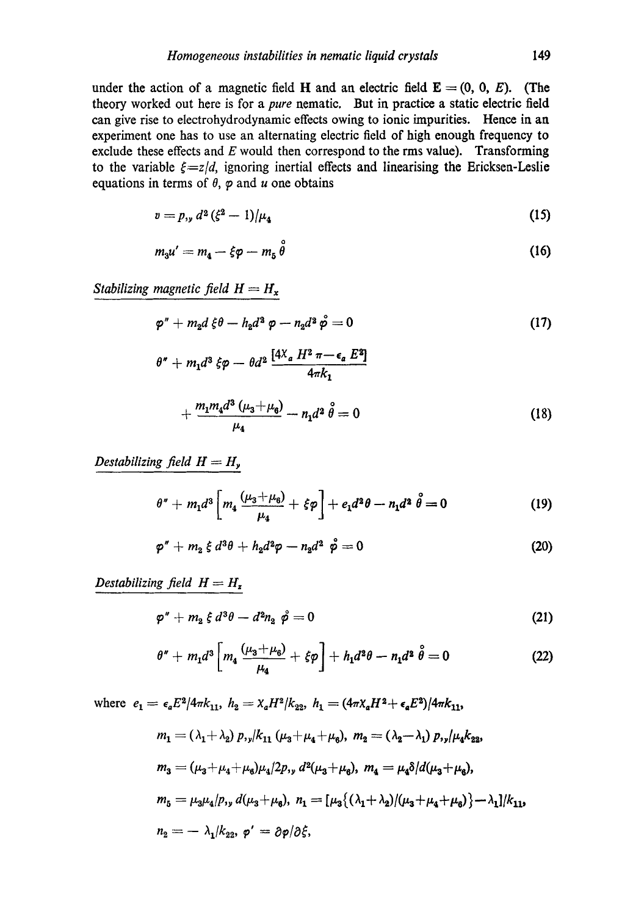under the action of a magnetic field H and an electric field  $\mathbf{E} = (0, 0, E)$ . (The theory worked out here is for a *pure* nematic. But in practice a static electric field can give rise to electrohydrodynamic effects owing to ionic impurities. Hence in an experiment one has to use an alternating electric field of high enough frequency to exclude these effects and  $E$  would then correspond to the rms value). Transforming to the variable  $\xi = z/d$ , ignoring inertial effects and linearising the Ericksen-Leslie equations in terms of  $\theta$ ,  $\varphi$  and  $\psi$  one obtains

$$
v = p_{y} d^2 (\xi^2 - 1) / \mu_4 \tag{15}
$$

$$
m_3u' = m_4 - \xi \varphi - m_5 \overset{\circ}{\theta} \tag{16}
$$

*Stabilizing magnetic field*  $H = H_x$ 

$$
\varphi'' + m_2 d \xi \theta - h_2 d^2 \varphi - n_2 d^2 \varphi = 0 \qquad (17)
$$

$$
\theta'' + m_1 d^3 \xi \varphi - \theta d^2 \frac{[4X_a H^2 \pi - \epsilon_a E^2]}{4\pi k_1} + \frac{m_1 m_4 d^3 (\mu_3 + \mu_6)}{\mu_4} - n_1 d^2 \theta = 0
$$
 (18)

*Destabilizing field*  $H = H_{y}$ 

$$
\theta'' + m_1 d^3 \left[ m_4 \frac{(\mu_3 + \mu_6)}{\mu_4} + \xi \varphi \right] + e_1 d^2 \theta - n_1 d^2 \stackrel{\circ}{\theta} = 0 \tag{19}
$$

$$
\varphi'' + m_2 \xi d^3\theta + h_2 d^2\varphi - n_2 d^2 \dot{\varphi} = 0 \qquad (20)
$$

*Destabilizing field H = Hz* 

$$
\varphi'' + m_2 \xi d^3\theta - d^2n_2 \stackrel{\circ}{\varphi} = 0 \tag{21}
$$

$$
\theta'' + m_1 d^3 \left[ m_4 \frac{(\mu_3 + \mu_6)}{\mu_4} + \xi \varphi \right] + h_1 d^2 \theta - n_1 d^2 \hat{\theta} = 0 \qquad (22)
$$

where  $e_1 = \epsilon_a E^2/4\pi k_{11}$ ,  $h_2 = \chi_a H^2/k_{22}$ ,  $h_1 = (4\pi\chi_a H^2 + \epsilon_a E^2)/4\pi k_{11}$ ,  $m_1 = (\lambda_1 + \lambda_2) p_{1y} / k_{11} (\mu_3 + \mu_4 + \mu_6), m_2 = (\lambda_2 - \lambda_1) p_{1y} / \mu_4 k_{23}$  $m_3 = (\mu_3+\mu_4+\mu_6)\mu_4/2p_{,v} d^2(\mu_3+\mu_6), m_4 = \mu_4\delta/d(\mu_3+\mu_6),$  $m_5 = \mu_3\mu_4/p, v d(\mu_3+\mu_4), n_1 = [\mu_3(\lambda_1+\lambda_2)/(\mu_3+\mu_4+\mu_6)] - \lambda_1]/k_{112}$  $n_2 = -\lambda_1/k_{22}, \varphi' = \partial \varphi / \partial \xi,$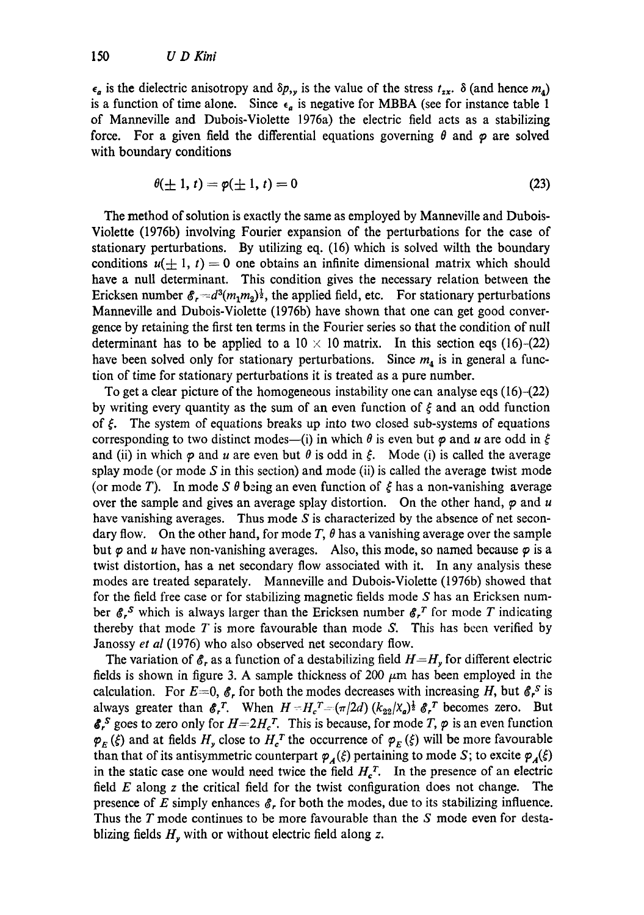$\epsilon_a$  is the dielectric anisotropy and  $\delta p_{,y}$  is the value of the stress  $t_{xx}$ .  $\delta$  (and hence  $m_a$ ) is a function of time alone. Since  $\epsilon_a$  is negative for MBBA (see for instance table 1 of Manneville and Dubois-Violette 1976a) the electric field acts as a stabilizing force. For a given field the differential equations governing  $\theta$  and  $\varphi$  are solved with boundary conditions

$$
\theta(\pm 1, t) = \varphi(\pm 1, t) = 0 \tag{23}
$$

The method of solution is exactly the same as employed by Manneville and Dubois-Violette (1976b) involving Fourier expansion of the perturbations for the case of stationary perturbations. By utilizing eq. (16) which is solved wilth the boundary conditions  $u(\pm 1, t) = 0$  one obtains an infinite dimensional matrix which should have a null determinant. This condition gives the necessary relation between the Ericksen number  $\mathscr{E}_r = d^3(m_1m_2)^{\frac{1}{2}}$ , the applied field, etc. For stationary perturbations Manneville and Dubois-Violette (1976b) have shown that one can get good convergence by retaining the first ten terms in the Fourier series so that the condition of null determinant has to be applied to a  $10 \times 10$  matrix. In this section eqs (16)-(22) have been solved only for stationary perturbations. Since  $m<sub>4</sub>$  is in general a function of time for stationary perturbations it is treated as a pure number.

To get a clear picture of the homogeneous instability one can analyse eqs (16)-(22) by writing every quantity as the sum of an even function of  $\xi$  and an odd function of  $\xi$ . The system of equations breaks up into two closed sub-systems of equations corresponding to two distinct modes—(i) in which  $\theta$  is even but  $\varphi$  and  $u$  are odd in  $\xi$ and (ii) in which  $\varphi$  and u are even but  $\theta$  is odd in  $\xi$ . Mode (i) is called the average splay mode (or mode  $S$  in this section) and mode (ii) is called the average twist mode (or mode T). In mode S  $\theta$  being an even function of  $\xi$  has a non-vanishing average over the sample and gives an average splay distortion. On the other hand,  $\varphi$  and u have vanishing averages. Thus mode S is characterized by the absence of net secondary flow. On the other hand, for mode  $T$ ,  $\theta$  has a vanishing average over the sample but  $\varphi$  and u have non-vanishing averages. Also, this mode, so named because  $\varphi$  is a twist distortion, has a net secondary flow associated with it. In any analysis these modes are treated separately. Manneville and Dubois-Violette (1976b) showed that for the field free case or for stabilizing magnetic fields mode S has an Ericksen number  $\mathscr{E}_r^S$  which is always larger than the Ericksen number  $\mathscr{E}_r^T$  for mode T indicating thereby that mode  $T$  is more favourable than mode  $S$ . This has been verified by Janossy *et al* (1976) who also observed net secondary flow.

The variation of  $\mathcal{E}_r$  as a function of a destabilizing field  $H=H_r$  for different electric fields is shown in figure 3. A sample thickness of 200  $\mu$ m has been employed in the calculation. For  $E=0$ ,  $\mathcal{E}_r$  for both the modes decreases with increasing H, but  $\mathcal{E}_r^S$  is always greater than  $\mathcal{E}_r$ . When  $H = H_c^T = (\pi/2d) (k_{22}/\chi_a)^{\frac{1}{2}} \mathcal{E}_r^T$  becomes zero. But  $\mathbf{\&}^s$  goes to zero only for  $H=2H_c^T$ . This is because, for mode T,  $\varphi$  is an even function  $\varphi_E(\xi)$  and at fields  $H_y$  close to  $H_c^T$  the occurrence of  $\varphi_E(\xi)$  will be more favourable than that of its antisymmetric counterpart  $\varphi_A(\xi)$  pertaining to mode S; to excite  $\varphi_A(\xi)$ in the static case one would need twice the field  $H_c^T$ . In the presence of an electric field  $E$  along  $z$  the critical field for the twist configuration does not change. The presence of E simply enhances  $\mathcal{E}_r$  for both the modes, due to its stabilizing influence. Thus the T mode continues to be more favourable than the S mode even for destablizing fields  $H_y$  with or without electric field along z.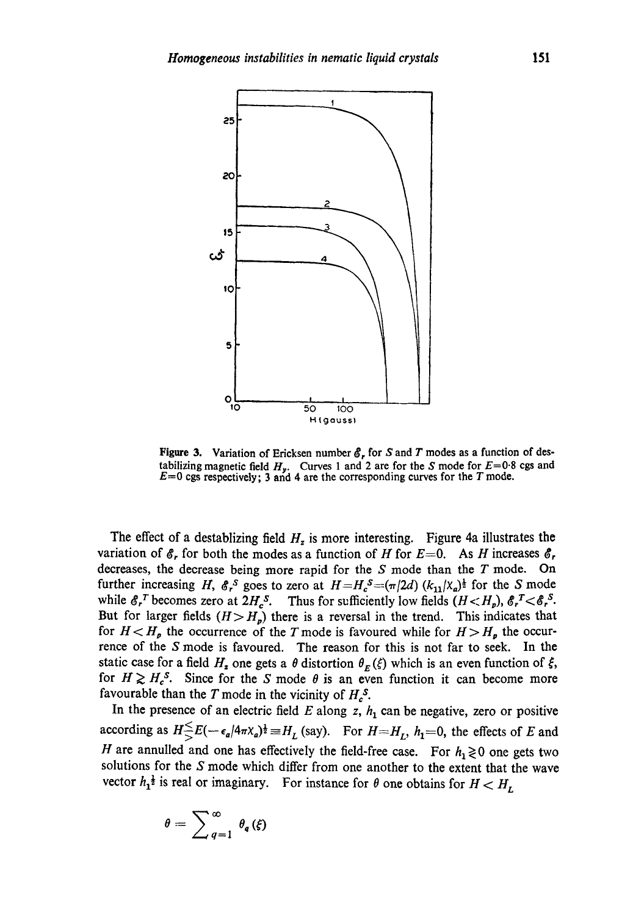

**Figure 3.** Variation of Ericksen number  $\mathcal{E}_r$  for S and T modes as a function of destabilizing magnetic field  $H_{\nu}$ . Curves 1 and 2 are for the S mode for  $E=0.8$  cgs and  $E=0$  cgs respectively; 3 and 4 are the corresponding curves for the T mode.

The effect of a destablizing field  $H_z$  is more interesting. Figure 4a illustrates the variation of  $\mathscr{E}_r$  for both the modes as a function of H for  $E=0$ . As H increases  $\mathscr{E}_r$ decreases, the decrease being more rapid for the S mode than the T mode. On further increasing H,  $\mathcal{E}_r$ <sup>S</sup> goes to zero at  $H=H_c^S=(\pi/2d)$  ( $k_{11}/(x_a)^{\frac{1}{2}}$  for the S mode while  $\mathcal{E}_r^T$  becomes zero at  $2H_c^S$ . Thus for sufficiently low fields  $(H \leq H_p)$ ,  $\mathcal{E}_r^T \leq \mathcal{E}_r^S$ . But for larger fields  $(H > H_p)$  there is a reversal in the trend. This indicates that for  $H < H_{\rho}$  the occurrence of the T mode is favoured while for  $H > H_{\rho}$  the occurrence of the S mode is favoured. The reason for this is not far to seek. In the static case for a field  $H_z$  one gets a  $\theta$  distortion  $\theta_E(\xi)$  which is an even function of  $\xi$ , for  $H \ge H_c^s$ . Since for the S mode  $\theta$  is an even function it can become more favourable than the T mode in the vicinity of  $H_c^s$ .

In the presence of an electric field  $E$  along  $z$ ,  $h_1$  can be negative, zero or positive according as  $H \le E(-\epsilon_a/4\pi X_a)^{\frac{1}{2}} = H_L$  (say). For  $H = H_L$ ,  $h_1 = 0$ , the effects of E and H are annulled and one has effectively the field-free case. For  $h_1 \ge 0$  one gets two solutions for the S mode which differ from one another to the extent that the wave vector  $h_1^{\frac{1}{2}}$  is real or imaginary. For instance for  $\theta$  one obtains for  $H \lt H_L$ 

$$
\theta = \sum_{q=1}^{\infty} \theta_q(\xi)
$$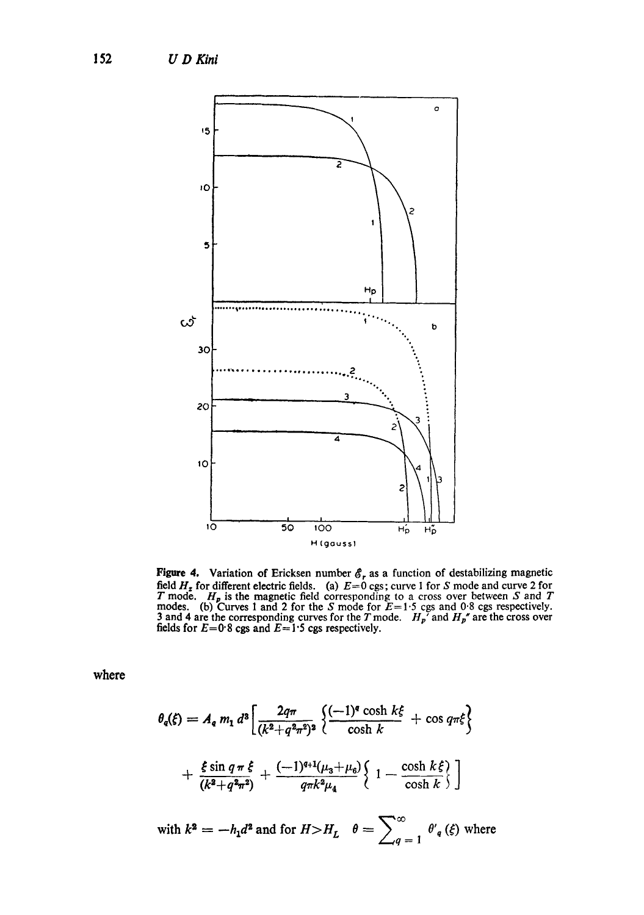

**Figure 4.** Variation of Ericksen number  $\mathcal{E}_r$  as a function of destabilizing magnetic field  $H_z$  for different electric fields. (a)  $E=0$  cgs; curve 1 for S mode and curve 2 for T mode.  $H_p$  is the magnetic field cor

where

$$
\theta_{q}(\xi) = A_{q} m_{1} d^{3} \left[ \frac{2q\pi}{(k^{2} + q^{2}\pi^{2})^{2}} \left\{ \frac{(-1)^{q} \cosh k\xi}{\cosh k} + \cos q\pi\xi \right\} + \frac{\xi \sin q\pi \xi}{(k^{2} + q^{2}\pi^{2})} + \frac{(-1)^{q+1}(\mu_{3} + \mu_{6})}{q\pi k^{2}\mu_{4}} \left\{ 1 - \frac{\cosh k\xi}{\cosh k} \right\} \right]
$$
  
with  $k^{2} = -h_{1}d^{2}$  and for  $H > H_{L}$   $\theta = \sum_{q=1}^{\infty} \theta_{q}(\xi)$  where